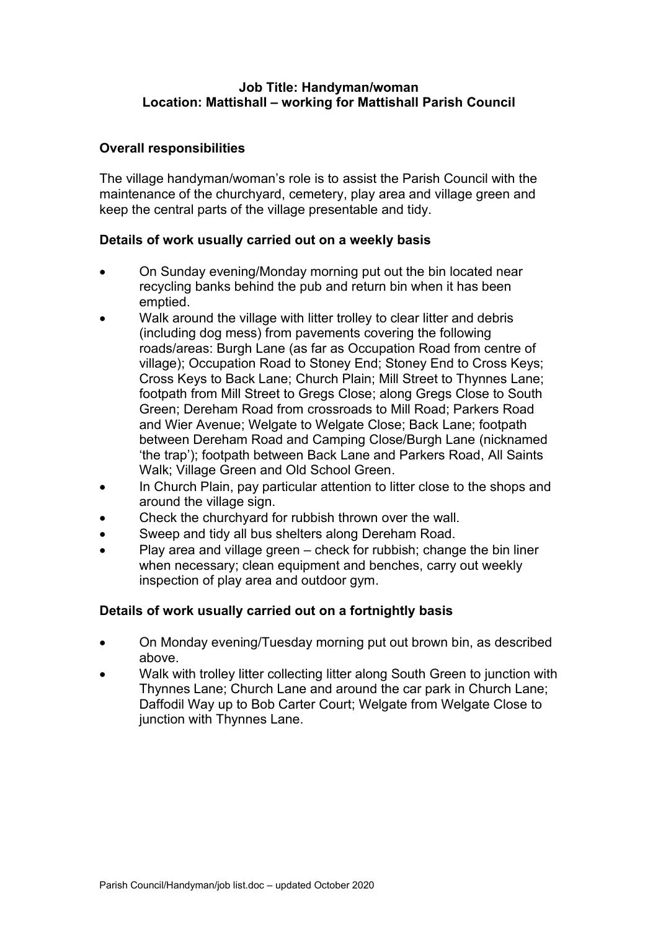## **Job Title: Handyman/woman Location: Mattishall – working for Mattishall Parish Council**

# **Overall responsibilities**

The village handyman/woman's role is to assist the Parish Council with the maintenance of the churchyard, cemetery, play area and village green and keep the central parts of the village presentable and tidy.

### **Details of work usually carried out on a weekly basis**

- On Sunday evening/Monday morning put out the bin located near recycling banks behind the pub and return bin when it has been emptied.
- Walk around the village with litter trolley to clear litter and debris (including dog mess) from pavements covering the following roads/areas: Burgh Lane (as far as Occupation Road from centre of village); Occupation Road to Stoney End; Stoney End to Cross Keys; Cross Keys to Back Lane; Church Plain; Mill Street to Thynnes Lane; footpath from Mill Street to Gregs Close; along Gregs Close to South Green; Dereham Road from crossroads to Mill Road; Parkers Road and Wier Avenue; Welgate to Welgate Close; Back Lane; footpath between Dereham Road and Camping Close/Burgh Lane (nicknamed 'the trap'); footpath between Back Lane and Parkers Road, All Saints Walk; Village Green and Old School Green.
- In Church Plain, pay particular attention to litter close to the shops and around the village sign.
- Check the churchyard for rubbish thrown over the wall.
- Sweep and tidy all bus shelters along Dereham Road.
- Play area and village green check for rubbish; change the bin liner when necessary; clean equipment and benches, carry out weekly inspection of play area and outdoor gym.

### **Details of work usually carried out on a fortnightly basis**

- On Monday evening/Tuesday morning put out brown bin, as described above.
- Walk with trolley litter collecting litter along South Green to junction with Thynnes Lane; Church Lane and around the car park in Church Lane; Daffodil Way up to Bob Carter Court; Welgate from Welgate Close to junction with Thynnes Lane.